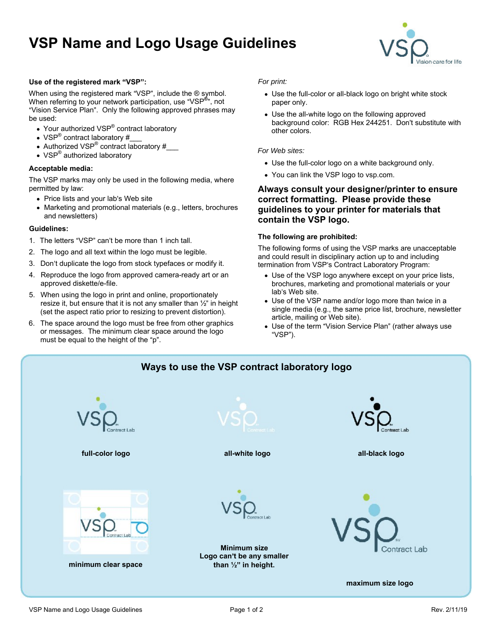# **VSP Name and Logo Usage Guidelines**



### **Use of the registered mark VSP :**

When using the registered mark "VSP", include the ® symbol. ● Use the full-color or all-black logo on bright white stock When referring to your network participation, use "VSP<sup>®</sup>", not paper only. "Vision Service Plan". Only the following approved phrases may

- 
- VSP® contract laboratory #\_\_\_
- Authorized VSP® contract laboratory #\_\_\_
- $\mathsf{VSP}^\circledR$  authorized laboratory and the state of the state of the state of the states. authorized laboratory and the control of the control of the control of the control of the control of the control of the control of the control of the control of the control of the control of the control of the control of t

### **Acceptable media:**

The VSP marks may only be used in the following media, where

- 
- 

### **Guidelines:**

- 1. The letters "VSP" can't be more than 1 inch tall.
- 2. The logo and all text within the logo must be legible.
- 3. Don't duplicate the logo from stock typefaces or modify it.
- 4. Reproduce the logo from approved camera-ready art or an
- 5. When using the logo in print and online, proportionately lab's Web site. resize it, but ensure that it is not any smaller than  $\frac{1}{2}$  in height (set the aspect ratio prior to resizing to prevent distortion).
- 6. The space around the logo must be free from other graphics or messages. The minimum clear space around the logo<br>must be equal to the height of the "p".

- , not paper only. paper only. The contract of the contract of the contract of the contract of the contract of the contract of the contract of the contract of the contract of the contract of the contract of the contract of the contract of th
- be used:<br>background color: RGB Hex 244251. Don't substitute with Your authorized VSP<sup>®</sup> contract laboratory expression of the colors of the colors. The colors of the colors of the colors of the colors of the colors of the colors of the colors of the colors of the colors of the colors of contract laboratory of the colors of the colors of the colors of the colors of the colors of the colors of the colors of the colors of the colors of the colors of the colors of the colors of the colors of the colors of the Use the all-white logo on the following approved other colors. The colors of the colors of the colors of the colors of the colors of the colors of the colors of the colors of the colors of the colors of the colors of the colors of the colors of the colors of the colors o

### For Web sites: **For Web sites:**  $\overline{a}$

- Use the full-color logo on a white background only.
- You can link the VSP logo to vsp.com.

# permitted by law: **Always consult your designer/printer to ensure**  Price lists and your lab's Web site **the set of the set of correct formatting. Please provide these** Marketing and promotional materials (e.g., letters, brochures **guidelines to your printer for materials that**  and newsletters) and newsletters are contained by  $\mathcal{L}_{\mathbf{S}}$  and  $\mathcal{L}_{\mathbf{S}}$  and  $\mathcal{L}_{\mathbf{S}}$  are contained by  $\mathcal{L}_{\mathbf{S}}$  and  $\mathcal{L}_{\mathbf{S}}$  are contained by  $\mathcal{L}_{\mathbf{S}}$  and  $\mathcal{L}_{\mathbf{S}}$  are contained by of the registred mark "VSP" controllated the file to the state and revisions and the principle of the state of the state of the state of the state of the state of the state of the state of the state of the state of the sta **contain the VSP logo.**

### **The following are prohibited:**

The following forms of using the VSP marks are unacceptable and could result in disciplinary action up to and including termination from VSP's Contract Laboratory Program:

- approved diskette/e-file. brochures, marketing and promotional materials or your Use of the VSP logo anywhere except on your price lists, lab's Web site. The same state of the state of the state of the state of the state of the state of the state o
	- Use of the VSP name and/or logo more than twice in a single media (e.g., the same price list, brochure, newsletter article, mailing or Web site).
	- Use of the term "Vision Service Plan" (rather always use VSP ).